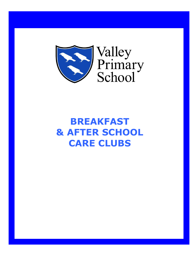

**BREAKFAST & AFTER SCHOOL CARE CLUBS**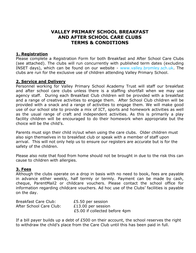# **VALLEY PRIMARY SCHOOL BREAKFAST AND AFTER SCHOOL CARE CLUBS TERMS & CONDITIONS**

# **1. Registration**

Please complete a Registration Form for both Breakfast and After School Care Clubs (see attached). The clubs will run concurrently with published term dates (excluding INSET days), which can be found on our website - www.valley.bromley.sch.uk. The clubs are run for the exclusive use of children attending Valley Primary School.

## **2. Service and Delivery**

Personnel working for Valley Primary School Academy Trust will staff our breakfast and after school care clubs unless there is a staffing shortfall when we may use agency staff. During each Breakfast Club children will be provided with a breakfast and a range of creative activities to engage them. After School Club children will be provided with a snack and a range of activities to engage them. We will make good use of our school site to provide a mix of ICT, sports and homework activities as well as the usual range of craft and independent activities. As this is primarily a play facility children will be encouraged to do their homework when appropriate but the choice will be the child's.

Parents must sign their child in/out when using the care clubs. Older children must also sign themselves in to breakfast club or speak with a member of staff upon arrival. This will not only help us to ensure our registers are accurate but is for the safety of the children.

Please also note that food from home should not be brought in due to the risk this can cause to children with allergies.

## **3. Fees**

Although the clubs operate on a drop in basis with no need to book, fees are payable in advance either weekly, half termly or termly. Payment can be made by cash, cheque, ParentMail2 or childcare vouchers. Please contact the school office for information regarding childcare vouchers. Ad hoc use of the Clubs' facilities is payable on the day.

| Breakfast Care Club:    | £5.50 per session             |
|-------------------------|-------------------------------|
| After School Care Club: | £13.00 per session            |
|                         | £5.00 if collected before 4pm |

If a bill payer builds up a debt of £500 on their account, the school reserves the right to withdraw the child's place from the Care Club until this has been paid in full.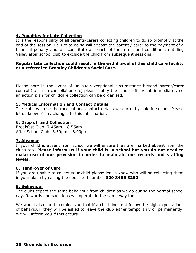# **4. Penalties for Late Collection**

It is the responsibility of all parents/carers collecting children to do so promptly at the end of the session. Failure to do so will expose the parent / carer to the payment of a financial penalty and will constitute a breach of the terms and conditions, entitling Valley after school club to exclude the child from subsequent sessions.

## **Regular late collection could result in the withdrawal of this child care facility or a referral to Bromley Children's Social Care.**

Please note in the event of unusual/exceptional circumstance beyond parent/carer control (i.e. train cancellation etc) please notify the school office/club immediately so an action plan for childcare collection can be organised.

#### **5. Medical Information and Contact Details**

The clubs will use the medical and contact details we currently hold in school. Please let us know of any changes to this information.

#### **6. Drop off and Collection**

Breakfast Club: 7.45am – 8.55am. After School Club: 3.30pm – 6.00pm.

## **7. Absence**

If your child is absent from school we will ensure they are marked absent from the clubs too. **Please inform us if your child is in school but you do not need to make use of our provision in order to maintain our records and staffing levels.** 

#### **8. Hand-over of Care**

If you are unable to collect your child please let us know who will be collecting them in your place by calling the dedicated number **020 8466 8252.** 

#### **9. Behaviour**

The clubs expect the same behaviour from children as we do during the normal school day. Rewards and sanctions will operate in the same way too.

We would also like to remind you that if a child does not follow the high expectations of behaviour, they will be asked to leave the club either temporarily or permanently. We will inform you if this occurs.

## **10. Grounds for Exclusion**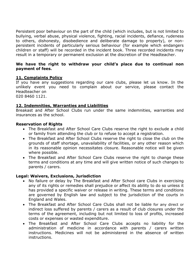Persistent poor behaviour on the part of the child (which includes, but is not limited to bullying, verbal abuse, physical violence, fighting, racial incidents, defiance, rudeness to others, dishonesty, disobedience and deliberate damage to property), or nonpersistent incidents of particularly serious behaviour (for example which endangers children or staff) will be recorded in the incident book. Three recorded incidents may result in a temporary or permanent exclusion at the discretion of the Headteacher.

# **We have the right to withdraw your child's place due to continual non payment of fees.**

# **11. Complaints Policy**

If you have any suggestions regarding our care clubs, please let us know. In the unlikely event you need to complain about our service, please contact the Headteacher on 020 8460 1121.

## **12. Indemnities, Warranties and Liabilities**

Breakast and After School Clubs run under the same indemnities, warranties and insurances as the school.

## **Reservation of Rights**

- The Breakfast and After School Care Clubs reserve the right to exclude a child or family from attending the club or to refuse to accept a registration.
- The Breakfast and After School Clubs reserve the right to close the club on the grounds of staff shortage, unavailability of facilities, or any other reason which in its reasonable opinion necessitates closure. Reasonable notice will be given where possible.
- The Breakfast and After School Care Clubs reserve the right to change these terms and conditions at any time and will give written notice of such changes to parents / carers.

# **Legal: Waivers, Exclusions, Jurisdiction**

- No failure or delay by The Breakfast and After School care Clubs in exercising any of its rights or remedies shall prejudice or affect its ability to do so unless it has provided a specific waiver or release in writing. These terms and conditions are governed by English law and subject to the jurisdiction of the courts in England and Wales.
- The Breakfast and After School Care Clubs shall not be liable for any direct or indirect loss suffered by parents / carers as a result of club closures under the terms of the agreement, including but not limited to loss of profits, increased costs or expenses or wasted expenditure.
- The Breakfast and After School Care Clubs accepts no liability for the administration of medicine in accordance with parents / carers written instructions. Medicines will not be administered in the absence of written instructions.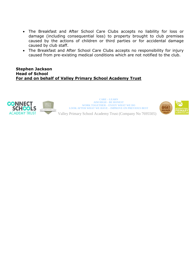- The Breakfast and After School Care Clubs accepts no liability for loss or damage (including consequential loss) to property brought to club premises caused by the actions of children or third parties or for accidental damage caused by club staff.
- The Breakfast and After School Care Clubs accepts no responsibility for injury caused from pre-existing medical conditions which are not notified to the club.

**Stephen Jackson Head of School For and on behalf of Valley Primary School Academy Trust** 



**CARE – LEARN AIM HIGH – BE HONEST WORK TOGETHER – ENJOY WHAT WE DO LOOK AFTER WHAT WE HAVE – IMPROVE ON PREVIOUS BEST**



Valley Primary School Academy Trust (Company No 7695505)